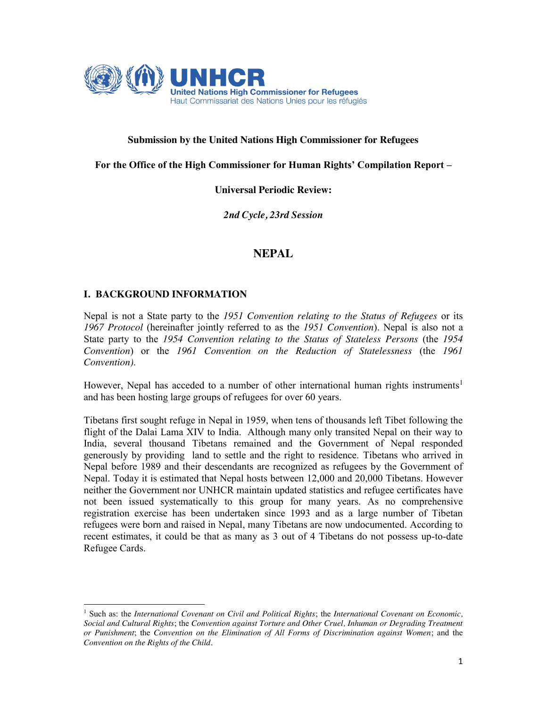

## **Submission by the United Nations High Commissioner for Refugees**

### **For the Office of the High Commissioner for Human Rights' Compilation Report –**

### **Universal Periodic Review:**

*2nd Cycle, 23rd Session*

# **NEPAL**

### **I. BACKGROUND INFORMATION**

 $\overline{a}$ 

Nepal is not a State party to the *1951 Convention relating to the Status of Refugees* or its *1967 Protocol* (hereinafter jointly referred to as the *1951 Convention*). Nepal is also not a State party to the *1954 Convention relating to the Status of Stateless Persons* (the *1954 Convention*) or the *1961 Convention on the Reduction of Statelessness* (the *1961 Convention)*.

However, Nepal has acceded to a number of other international human rights instruments<sup>1</sup> and has been hosting large groups of refugees for over 60 years.

Tibetans first sought refuge in Nepal in 1959, when tens of thousands left Tibet following the flight of the Dalai Lama XIV to India. Although many only transited Nepal on their way to India, several thousand Tibetans remained and the Government of Nepal responded generously by providing land to settle and the right to residence. Tibetans who arrived in Nepal before 1989 and their descendants are recognized as refugees by the Government of Nepal. Today it is estimated that Nepal hosts between 12,000 and 20,000 Tibetans. However neither the Government nor UNHCR maintain updated statistics and refugee certificates have not been issued systematically to this group for many years. As no comprehensive registration exercise has been undertaken since 1993 and as a large number of Tibetan refugees were born and raised in Nepal, many Tibetans are now undocumented. According to recent estimates, it could be that as many as 3 out of 4 Tibetans do not possess up-to-date Refugee Cards.

<sup>1</sup> Such as: the *International Covenant on Civil and Political Rights*; the *International Covenant on Economic, Social and Cultural Rights*; the *Convention against Torture and Other Cruel, Inhuman or Degrading Treatment or Punishment*; the *Convention on the Elimination of All Forms of Discrimination against Women*; and the *Convention on the Rights of the Child.*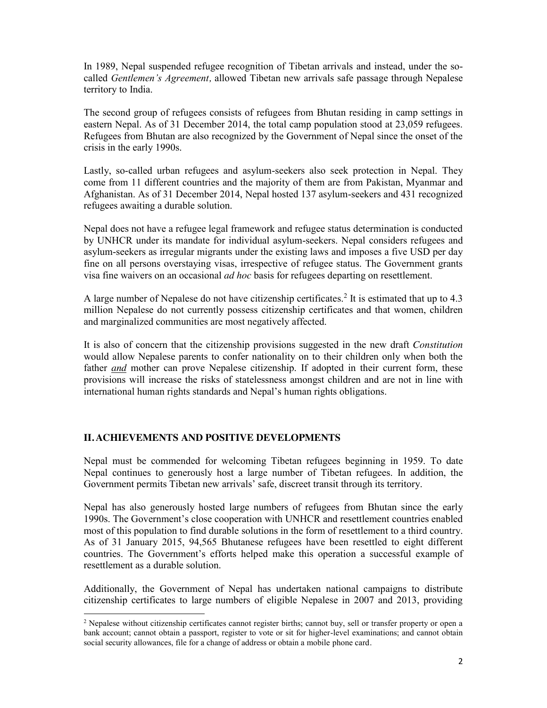In 1989, Nepal suspended refugee recognition of Tibetan arrivals and instead, under the socalled *Gentlemen's Agreement,* allowed Tibetan new arrivals safe passage through Nepalese territory to India.

The second group of refugees consists of refugees from Bhutan residing in camp settings in eastern Nepal. As of 31 December 2014, the total camp population stood at 23,059 refugees. Refugees from Bhutan are also recognized by the Government of Nepal since the onset of the crisis in the early 1990s.

Lastly, so-called urban refugees and asylum-seekers also seek protection in Nepal. They come from 11 different countries and the majority of them are from Pakistan, Myanmar and Afghanistan. As of 31 December 2014, Nepal hosted 137 asylum-seekers and 431 recognized refugees awaiting a durable solution.

Nepal does not have a refugee legal framework and refugee status determination is conducted by UNHCR under its mandate for individual asylum-seekers. Nepal considers refugees and asylum-seekers as irregular migrants under the existing laws and imposes a five USD per day fine on all persons overstaying visas, irrespective of refugee status. The Government grants visa fine waivers on an occasional *ad hoc* basis for refugees departing on resettlement.

A large number of Nepalese do not have citizenship certificates.<sup>2</sup> It is estimated that up to 4.3 million Nepalese do not currently possess citizenship certificates and that women, children and marginalized communities are most negatively affected.

It is also of concern that the citizenship provisions suggested in the new draft *Constitution* would allow Nepalese parents to confer nationality on to their children only when both the father *and* mother can prove Nepalese citizenship. If adopted in their current form, these provisions will increase the risks of statelessness amongst children and are not in line with international human rights standards and Nepal's human rights obligations.

## **II. ACHIEVEMENTS AND POSITIVE DEVELOPMENTS**

 $\overline{a}$ 

Nepal must be commended for welcoming Tibetan refugees beginning in 1959. To date Nepal continues to generously host a large number of Tibetan refugees. In addition, the Government permits Tibetan new arrivals' safe, discreet transit through its territory.

Nepal has also generously hosted large numbers of refugees from Bhutan since the early 1990s. The Government's close cooperation with UNHCR and resettlement countries enabled most of this population to find durable solutions in the form of resettlement to a third country. As of 31 January 2015, 94,565 Bhutanese refugees have been resettled to eight different countries. The Government's efforts helped make this operation a successful example of resettlement as a durable solution.

Additionally, the Government of Nepal has undertaken national campaigns to distribute citizenship certificates to large numbers of eligible Nepalese in 2007 and 2013, providing

<sup>&</sup>lt;sup>2</sup> Nepalese without citizenship certificates cannot register births; cannot buy, sell or transfer property or open a bank account; cannot obtain a passport, register to vote or sit for higher-level examinations; and cannot obtain social security allowances, file for a change of address or obtain a mobile phone card*.*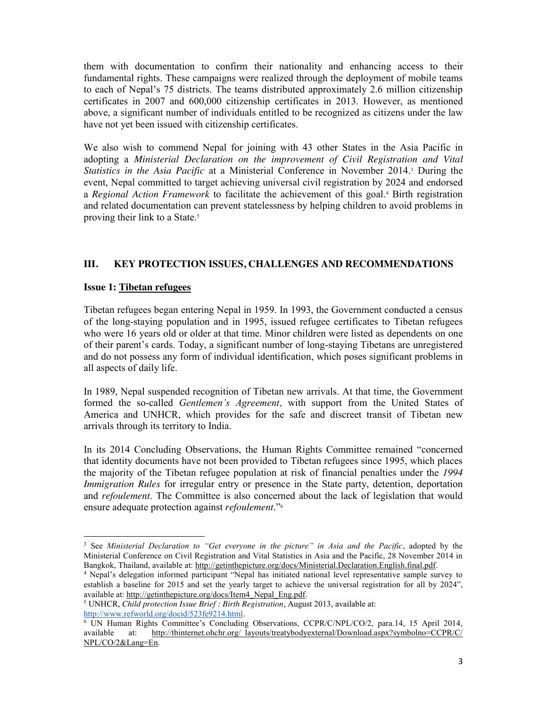them with documentation to confirm their nationality and enhancing access to their fundamental rights. These campaigns were realized through the deployment of mobile teams to each of Nepal's 75 districts. The teams distributed approximately 2.6 million citizenship certificates in 2007 and 600,000 citizenship certificates in 2013. However, as mentioned above, a significant number of individuals entitled to be recognized as citizens under the law have not yet been issued with citizenship certificates.

We also wish to commend Nepal for joining with 43 other States in the Asia Pacific in adopting a *Ministerial Declaration on the improvement of Civil Registration and Vital Statistics in the Asia Pacific* at a Ministerial Conference in November 2014.<sup>3</sup> During the event, Nepal committed to target achieving universal civil registration by 2024 and endorsed a *Regional Action Framework* to facilitate the achievement of this goal.4 Birth registration and related documentation can prevent statelessness by helping children to avoid problems in proving their link to a State.<sup>5</sup>

## **III. KEY PROTECTION ISSUES, CHALLENGES AND RECOMMENDATIONS**

### **Issue 1: Tibetan refugees**

 $\overline{a}$ 

Tibetan refugees began entering Nepal in 1959. In 1993, the Government conducted a census of the long-staying population and in 1995, issued refugee certificates to Tibetan refugees who were 16 years old or older at that time. Minor children were listed as dependents on one of their parent's cards. Today, a significant number of long-staying Tibetans are unregistered and do not possess any form of individual identification, which poses significant problems in all aspects of daily life.

In 1989, Nepal suspended recognition of Tibetan new arrivals. At that time, the Government formed the so-called *Gentlemen's Agreement,* with support from the United States of America and UNHCR, which provides for the safe and discreet transit of Tibetan new arrivals through its territory to India.

In its 2014 Concluding Observations, the Human Rights Committee remained "concerned that identity documents have not been provided to Tibetan refugees since 1995, which places the majority of the Tibetan refugee population at risk of financial penalties under the *1994 Immigration Rules* for irregular entry or presence in the State party, detention, deportation and *refoulement*. The Committee is also concerned about the lack of legislation that would ensure adequate protection against *refoulement*."<sup>6</sup>

<sup>&</sup>lt;sup>3</sup> See *Ministerial Declaration to "Get everyone in the picture" in Asia and the Pacific*, adopted by the Ministerial Conference on Civil Registration and Vital Statistics in Asia and the Pacific, 28 November 2014 in Bangkok, Thailand, available at: http://getinthepicture.org/docs/Ministerial.Declaration.English.final.pdf.

<sup>&</sup>lt;sup>4</sup> Nepal's delegation informed participant "Nepal has initiated national level representative sample survey to establish a baseline for 2015 and set the yearly target to achieve the universal registration for all by 2024",

available at: http://getinthepicture.org/docs/Item4\_Nepal\_Eng.pdf.<br><sup>5</sup> UNHCR, *Child protection Issue Brief : Birth Registration*, August 2013, available at:<br>http://www.refworld.org/docid/523fe9214.html.

 $6$  UN Human Rights Committee's Concluding Observations, CCPR/C/NPL/CO/2, para.14, 15 April 2014, available at: http://tbinternet.ohchr.org/\_layouts/treatybodyexternal/Download.aspx?symbolno=CCPR/C/ NPL/CO/2&Lang=En.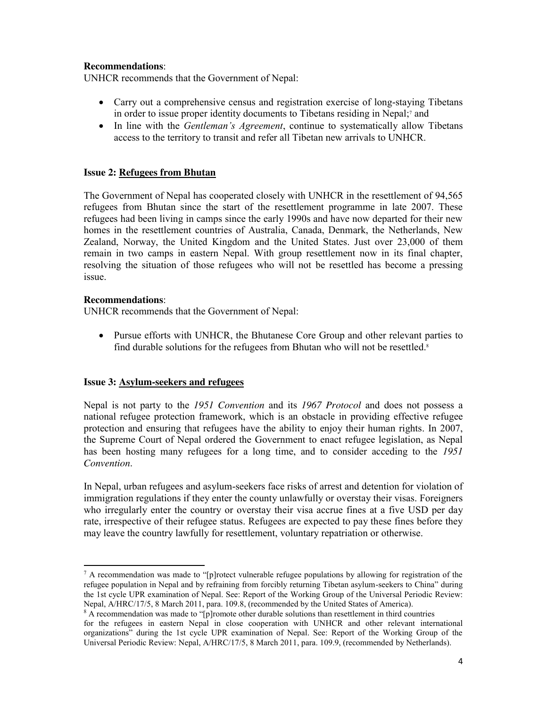### **Recommendations**:

UNHCR recommends that the Government of Nepal:

- Carry out a comprehensive census and registration exercise of long-staying Tibetans in order to issue proper identity documents to Tibetans residing in Nepal;<sup>7</sup> and
- In line with the *Gentleman's Agreement*, continue to systematically allow Tibetans access to the territory to transit and refer all Tibetan new arrivals to UNHCR.

### **Issue 2: Refugees from Bhutan**

The Government of Nepal has cooperated closely with UNHCR in the resettlement of 94,565 refugees from Bhutan since the start of the resettlement programme in late 2007. These refugees had been living in camps since the early 1990s and have now departed for their new homes in the resettlement countries of Australia, Canada, Denmark, the Netherlands, New Zealand, Norway, the United Kingdom and the United States. Just over 23,000 of them remain in two camps in eastern Nepal. With group resettlement now in its final chapter, resolving the situation of those refugees who will not be resettled has become a pressing issue.

### **Recommendations**:

 $\overline{a}$ 

UNHCR recommends that the Government of Nepal:

• Pursue efforts with UNHCR, the Bhutanese Core Group and other relevant parties to find durable solutions for the refugees from Bhutan who will not be resettled.<sup>8</sup>

### **Issue 3: Asylum-seekers and refugees**

Nepal is not party to the *1951 Convention* and its *1967 Protocol* and does not possess a national refugee protection framework, which is an obstacle in providing effective refugee protection and ensuring that refugees have the ability to enjoy their human rights. In 2007, the Supreme Court of Nepal ordered the Government to enact refugee legislation, as Nepal has been hosting many refugees for a long time, and to consider acceding to the *1951 Convention*.

In Nepal, urban refugees and asylum-seekers face risks of arrest and detention for violation of immigration regulations if they enter the county unlawfully or overstay their visas. Foreigners who irregularly enter the country or overstay their visa accrue fines at a five USD per day rate, irrespective of their refugee status. Refugees are expected to pay these fines before they may leave the country lawfully for resettlement, voluntary repatriation or otherwise.

<sup>&</sup>lt;sup>7</sup> A recommendation was made to "[p]rotect vulnerable refugee populations by allowing for registration of the refugee population in Nepal and by refraining from forcibly returning Tibetan asylum-seekers to China" during the 1st cycle UPR examination of Nepal. See: Report of the Working Group of the Universal Periodic Review: Nepal, A/HRC/17/5, 8 March 2011, para. 109.8, (recommended by the United States of America).

<sup>&</sup>lt;sup>8</sup> A recommendation was made to "[p]romote other durable solutions than resettlement in third countries

for the refugees in eastern Nepal in close cooperation with UNHCR and other relevant international organizations" during the 1st cycle UPR examination of Nepal. See: Report of the Working Group of the Universal Periodic Review: Nepal, A/HRC/17/5, 8 March 2011, para. 109.9, (recommended by Netherlands).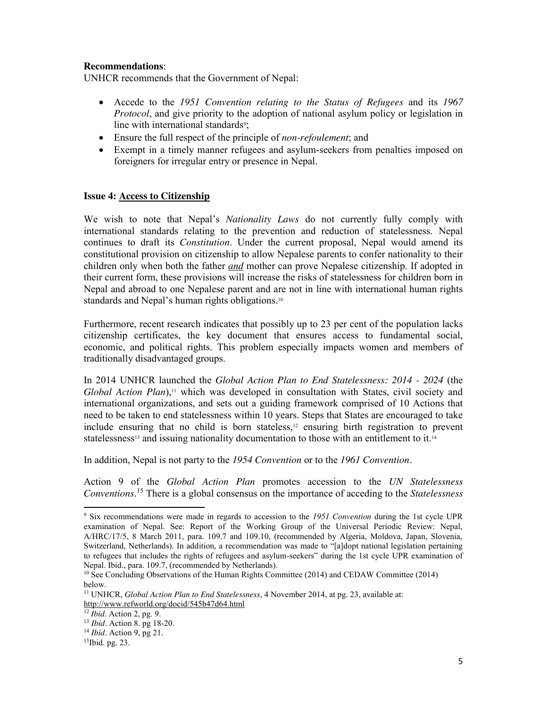### **Recommendations**:

UNHCR recommends that the Government of Nepal:

- x Accede to the *1951 Convention relating to the Status of Refugees* and its *1967 Protocol*, and give priority to the adoption of national asylum policy or legislation in line with international standards<sup>9</sup>;
- x Ensure the full respect of the principle of *non-refoulement*; and
- Exempt in a timely manner refugees and asylum-seekers from penalties imposed on foreigners for irregular entry or presence in Nepal.

### **Issue 4: Access to Citizenship**

We wish to note that Nepal's *Nationality Laws* do not currently fully comply with international standards relating to the prevention and reduction of statelessness. Nepal continues to draft its *Constitution*. Under the current proposal, Nepal would amend its constitutional provision on citizenship to allow Nepalese parents to confer nationality to their children only when both the father *and* mother can prove Nepalese citizenship. If adopted in their current form, these provisions will increase the risks of statelessness for children born in Nepal and abroad to one Nepalese parent and are not in line with international human rights standards and Nepal's human rights obligations.<sup>10</sup>

Furthermore, recent research indicates that possibly up to 23 per cent of the population lacks citizenship certificates, the key document that ensures access to fundamental social, economic, and political rights. This problem especially impacts women and members of traditionally disadvantaged groups.

In 2014 UNHCR launched the *Global Action Plan to End Statelessness: 2014 - 2024* (the Global Action Plan),<sup>11</sup> which was developed in consultation with States, civil society and international organizations, and sets out a guiding framework comprised of 10 Actions that need to be taken to end statelessness within 10 years. Steps that States are encouraged to take include ensuring that no child is born stateless, $12$  ensuring birth registration to prevent statelessness<sup>13</sup> and issuing nationality documentation to those with an entitlement to it.<sup>14</sup>

In addition, Nepal is not party to the *1954 Convention* or to the *1961 Convention.*

Action 9 of the *Global Action Plan* promotes accession to the *UN Statelessness Conventions*. <sup>15</sup> There is a global consensus on the importance of acceding to the *Statelessness* 

 $\overline{a}$ 

<sup>9</sup> Six recommendations were made in regards to accession to the *1951 Convention* during the 1st cycle UPR examination of Nepal. See: Report of the Working Group of the Universal Periodic Review: Nepal, A/HRC/17/5, 8 March 2011, para. 109.7 and 109.10, (recommended by Algeria, Moldova, Japan, Slovenia, Switzerland, Netherlands). In addition, a recommendation was made to "[a]dopt national legislation pertaining to refugees that includes the rights of refugees and asylum-seekers" during the 1st cycle UPR examination of Nepal. Ibid., para. 109.7, (recommended by Netherlands).

<sup>&</sup>lt;sup>10</sup> See Concluding Observations of the Human Rights Committee (2014) and CEDAW Committee (2014) below.

<sup>11</sup> UNHCR, *Global Action Plan to End Statelessness*, 4 November 2014, at pg. 23, available at: http://www.refworld.org/docid/545b47d64.html

<sup>12</sup> *Ibid*. Action 2, pg. 9.

<sup>13</sup> *Ibid.* Action 8. pg 18-20.

<sup>14</sup> *Ibid*. Action 9, pg 21.

<sup>15</sup>Ibid. pg. 23.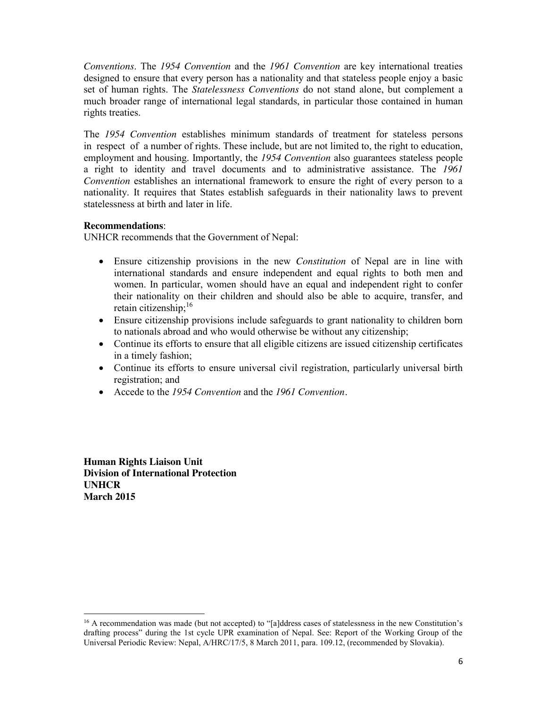*Conventions*. The *1954 Convention* and the *1961 Convention* are key international treaties designed to ensure that every person has a nationality and that stateless people enjoy a basic set of human rights. The *Statelessness Conventions* do not stand alone, but complement a much broader range of international legal standards, in particular those contained in human rights treaties.

The *1954 Convention* establishes minimum standards of treatment for stateless persons in respect of a number of rights. These include, but are not limited to, the right to education, employment and housing. Importantly, the *1954 Convention* also guarantees stateless people a right to identity and travel documents and to administrative assistance. The *1961 Convention* establishes an international framework to ensure the right of every person to a nationality. It requires that States establish safeguards in their nationality laws to prevent statelessness at birth and later in life.

### **Recommendations**:

UNHCR recommends that the Government of Nepal:

- x Ensure citizenship provisions in the new *Constitution* of Nepal are in line with international standards and ensure independent and equal rights to both men and women. In particular, women should have an equal and independent right to confer their nationality on their children and should also be able to acquire, transfer, and retain citizenship; 16
- Ensure citizenship provisions include safeguards to grant nationality to children born to nationals abroad and who would otherwise be without any citizenship;
- Continue its efforts to ensure that all eligible citizens are issued citizenship certificates in a timely fashion;
- Continue its efforts to ensure universal civil registration, particularly universal birth registration; and
- x Accede to the *1954 Convention* and the *1961 Convention.*

**Human Rights Liaison Unit Division of International Protection UNHCR March 2015**

 $\overline{a}$ 

<sup>&</sup>lt;sup>16</sup> A recommendation was made (but not accepted) to "[a]ddress cases of statelessness in the new Constitution's drafting process" during the 1st cycle UPR examination of Nepal. See: Report of the Working Group of the Universal Periodic Review: Nepal, A/HRC/17/5, 8 March 2011, para. 109.12, (recommended by Slovakia).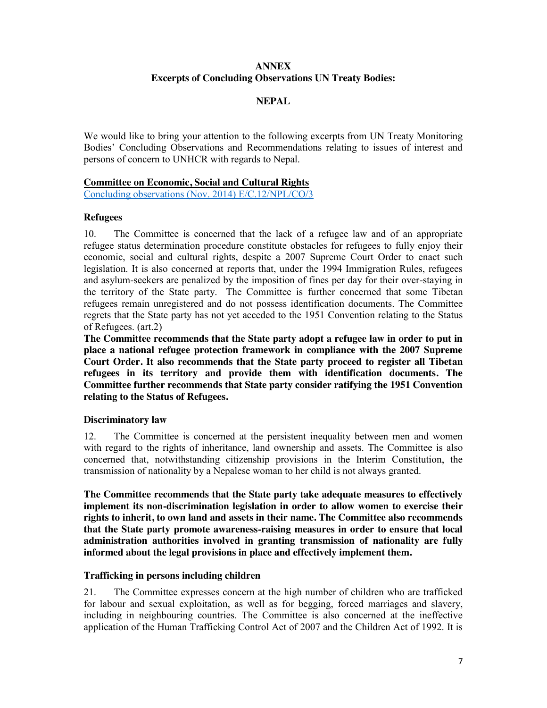## **ANNEX Excerpts of Concluding Observations UN Treaty Bodies:**

## **NEPAL**

We would like to bring your attention to the following excerpts from UN Treaty Monitoring Bodies' Concluding Observations and Recommendations relating to issues of interest and persons of concern to UNHCR with regards to Nepal.

### **Committee on Economic, Social and Cultural Rights**

Concluding observations (Nov. 2014) E/C.12/NPL/CO/3

## **Refugees**

10. The Committee is concerned that the lack of a refugee law and of an appropriate refugee status determination procedure constitute obstacles for refugees to fully enjoy their economic, social and cultural rights, despite a 2007 Supreme Court Order to enact such legislation. It is also concerned at reports that, under the 1994 Immigration Rules, refugees and asylum-seekers are penalized by the imposition of fines per day for their over-staying in the territory of the State party. The Committee is further concerned that some Tibetan refugees remain unregistered and do not possess identification documents. The Committee regrets that the State party has not yet acceded to the 1951 Convention relating to the Status of Refugees. (art.2)

**The Committee recommends that the State party adopt a refugee law in order to put in place a national refugee protection framework in compliance with the 2007 Supreme Court Order. It also recommends that the State party proceed to register all Tibetan refugees in its territory and provide them with identification documents. The Committee further recommends that State party consider ratifying the 1951 Convention relating to the Status of Refugees.**

## **Discriminatory law**

12. The Committee is concerned at the persistent inequality between men and women with regard to the rights of inheritance, land ownership and assets. The Committee is also concerned that, notwithstanding citizenship provisions in the Interim Constitution, the transmission of nationality by a Nepalese woman to her child is not always granted.

**The Committee recommends that the State party take adequate measures to effectively implement its non-discrimination legislation in order to allow women to exercise their rights to inherit, to own land and assets in their name. The Committee also recommends that the State party promote awareness-raising measures in order to ensure that local administration authorities involved in granting transmission of nationality are fully informed about the legal provisions in place and effectively implement them.**

## **Trafficking in persons including children**

21. The Committee expresses concern at the high number of children who are trafficked for labour and sexual exploitation, as well as for begging, forced marriages and slavery, including in neighbouring countries. The Committee is also concerned at the ineffective application of the Human Trafficking Control Act of 2007 and the Children Act of 1992. It is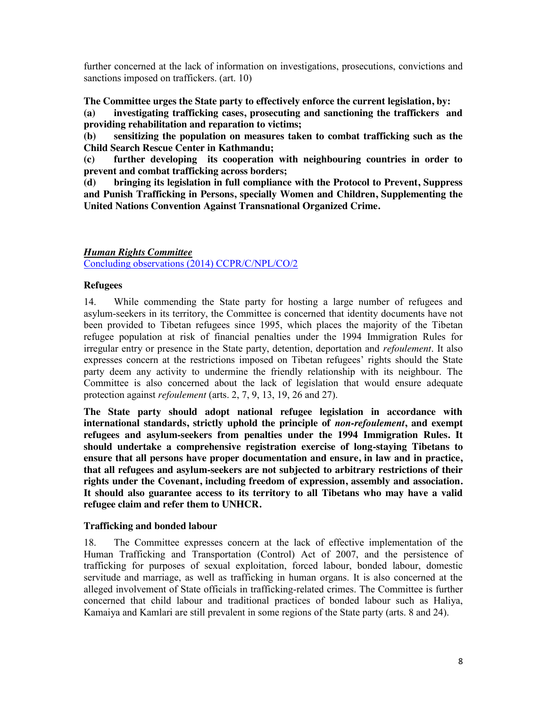further concerned at the lack of information on investigations, prosecutions, convictions and sanctions imposed on traffickers. (art. 10)

**The Committee urges the State party to effectively enforce the current legislation, by:** 

**(a) investigating trafficking cases, prosecuting and sanctioning the traffickers and providing rehabilitation and reparation to victims;** 

**(b) sensitizing the population on measures taken to combat trafficking such as the Child Search Rescue Center in Kathmandu;** 

**(c) further developing its cooperation with neighbouring countries in order to prevent and combat trafficking across borders;** 

**(d) bringing its legislation in full compliance with the Protocol to Prevent, Suppress and Punish Trafficking in Persons, specially Women and Children, Supplementing the United Nations Convention Against Transnational Organized Crime.**

### *Human Rights Committee*

Concluding observations (2014) CCPR/C/NPL/CO/2

### **Refugees**

14. While commending the State party for hosting a large number of refugees and asylum-seekers in its territory, the Committee is concerned that identity documents have not been provided to Tibetan refugees since 1995, which places the majority of the Tibetan refugee population at risk of financial penalties under the 1994 Immigration Rules for irregular entry or presence in the State party, detention, deportation and *refoulement*. It also expresses concern at the restrictions imposed on Tibetan refugees' rights should the State party deem any activity to undermine the friendly relationship with its neighbour. The Committee is also concerned about the lack of legislation that would ensure adequate protection against *refoulement* (arts. 2, 7, 9, 13, 19, 26 and 27).

**The State party should adopt national refugee legislation in accordance with international standards, strictly uphold the principle of** *non-refoulement***, and exempt refugees and asylum-seekers from penalties under the 1994 Immigration Rules. It should undertake a comprehensive registration exercise of long-staying Tibetans to ensure that all persons have proper documentation and ensure, in law and in practice, that all refugees and asylum-seekers are not subjected to arbitrary restrictions of their rights under the Covenant, including freedom of expression, assembly and association. It should also guarantee access to its territory to all Tibetans who may have a valid refugee claim and refer them to UNHCR.** 

### **Trafficking and bonded labour**

18. The Committee expresses concern at the lack of effective implementation of the Human Trafficking and Transportation (Control) Act of 2007, and the persistence of trafficking for purposes of sexual exploitation, forced labour, bonded labour, domestic servitude and marriage, as well as trafficking in human organs. It is also concerned at the alleged involvement of State officials in trafficking-related crimes. The Committee is further concerned that child labour and traditional practices of bonded labour such as Haliya, Kamaiya and Kamlari are still prevalent in some regions of the State party (arts. 8 and 24).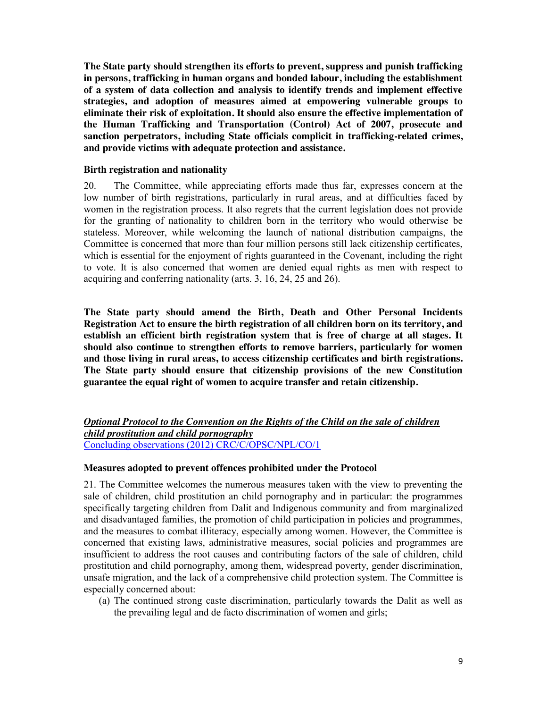**The State party should strengthen its efforts to prevent, suppress and punish trafficking in persons, trafficking in human organs and bonded labour, including the establishment of a system of data collection and analysis to identify trends and implement effective strategies, and adoption of measures aimed at empowering vulnerable groups to eliminate their risk of exploitation. It should also ensure the effective implementation of the Human Trafficking and Transportation (Control) Act of 2007, prosecute and sanction perpetrators, including State officials complicit in trafficking-related crimes, and provide victims with adequate protection and assistance.** 

### **Birth registration and nationality**

20. The Committee, while appreciating efforts made thus far, expresses concern at the low number of birth registrations, particularly in rural areas, and at difficulties faced by women in the registration process. It also regrets that the current legislation does not provide for the granting of nationality to children born in the territory who would otherwise be stateless. Moreover, while welcoming the launch of national distribution campaigns, the Committee is concerned that more than four million persons still lack citizenship certificates, which is essential for the enjoyment of rights guaranteed in the Covenant, including the right to vote. It is also concerned that women are denied equal rights as men with respect to acquiring and conferring nationality (arts. 3, 16, 24, 25 and 26).

**The State party should amend the Birth, Death and Other Personal Incidents Registration Act to ensure the birth registration of all children born on its territory, and establish an efficient birth registration system that is free of charge at all stages. It should also continue to strengthen efforts to remove barriers, particularly for women and those living in rural areas, to access citizenship certificates and birth registrations. The State party should ensure that citizenship provisions of the new Constitution guarantee the equal right of women to acquire transfer and retain citizenship.** 

*Optional Protocol to the Convention on the Rights of the Child on the sale of children child prostitution and child pornography* Concluding observations (2012) CRC/C/OPSC/NPL/CO/1

### **Measures adopted to prevent offences prohibited under the Protocol**

21. The Committee welcomes the numerous measures taken with the view to preventing the sale of children, child prostitution an child pornography and in particular: the programmes specifically targeting children from Dalit and Indigenous community and from marginalized and disadvantaged families, the promotion of child participation in policies and programmes, and the measures to combat illiteracy, especially among women. However, the Committee is concerned that existing laws, administrative measures, social policies and programmes are insufficient to address the root causes and contributing factors of the sale of children, child prostitution and child pornography, among them, widespread poverty, gender discrimination, unsafe migration, and the lack of a comprehensive child protection system. The Committee is especially concerned about:

(a) The continued strong caste discrimination, particularly towards the Dalit as well as the prevailing legal and de facto discrimination of women and girls;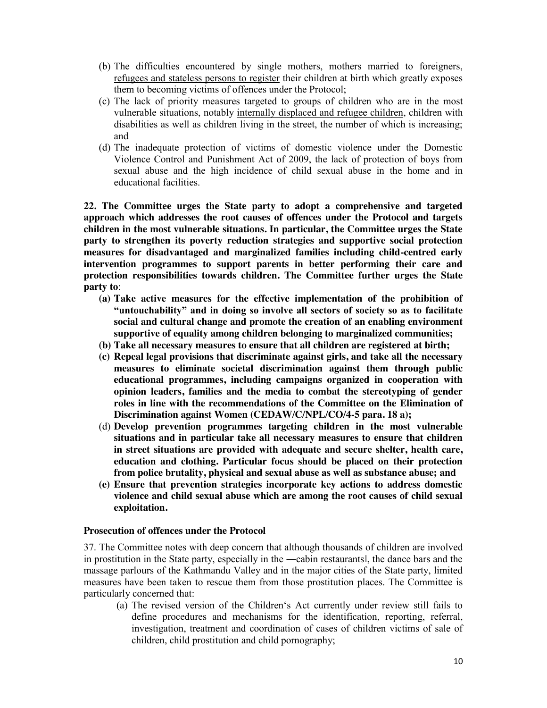- (b) The difficulties encountered by single mothers, mothers married to foreigners, refugees and stateless persons to register their children at birth which greatly exposes them to becoming victims of offences under the Protocol;
- (c) The lack of priority measures targeted to groups of children who are in the most vulnerable situations, notably internally displaced and refugee children, children with disabilities as well as children living in the street, the number of which is increasing; and
- (d) The inadequate protection of victims of domestic violence under the Domestic Violence Control and Punishment Act of 2009, the lack of protection of boys from sexual abuse and the high incidence of child sexual abuse in the home and in educational facilities.

**22. The Committee urges the State party to adopt a comprehensive and targeted approach which addresses the root causes of offences under the Protocol and targets children in the most vulnerable situations. In particular, the Committee urges the State party to strengthen its poverty reduction strategies and supportive social protection measures for disadvantaged and marginalized families including child-centred early intervention programmes to support parents in better performing their care and protection responsibilities towards children. The Committee further urges the State party to**:

- **(a) Take active measures for the effective implementation of the prohibition of "untouchability" and in doing so involve all sectors of society so as to facilitate social and cultural change and promote the creation of an enabling environment supportive of equality among children belonging to marginalized communities;**
- **(b) Take all necessary measures to ensure that all children are registered at birth;**
- **(c) Repeal legal provisions that discriminate against girls, and take all the necessary measures to eliminate societal discrimination against them through public educational programmes, including campaigns organized in cooperation with opinion leaders, families and the media to combat the stereotyping of gender roles in line with the recommendations of the Committee on the Elimination of Discrimination against Women (CEDAW/C/NPL/CO/4-5 para. 18 a);**
- (d) **Develop prevention programmes targeting children in the most vulnerable situations and in particular take all necessary measures to ensure that children in street situations are provided with adequate and secure shelter, health care, education and clothing. Particular focus should be placed on their protection from police brutality, physical and sexual abuse as well as substance abuse; and**
- **(e) Ensure that prevention strategies incorporate key actions to address domestic violence and child sexual abuse which are among the root causes of child sexual exploitation.**

### **Prosecution of offences under the Protocol**

37. The Committee notes with deep concern that although thousands of children are involved in prostitution in the State party, especially in the ―cabin restaurants‖, the dance bars and the massage parlours of the Kathmandu Valley and in the major cities of the State party, limited measures have been taken to rescue them from those prostitution places. The Committee is particularly concerned that:

(a) The revised version of the Children's Act currently under review still fails to define procedures and mechanisms for the identification, reporting, referral, investigation, treatment and coordination of cases of children victims of sale of children, child prostitution and child pornography;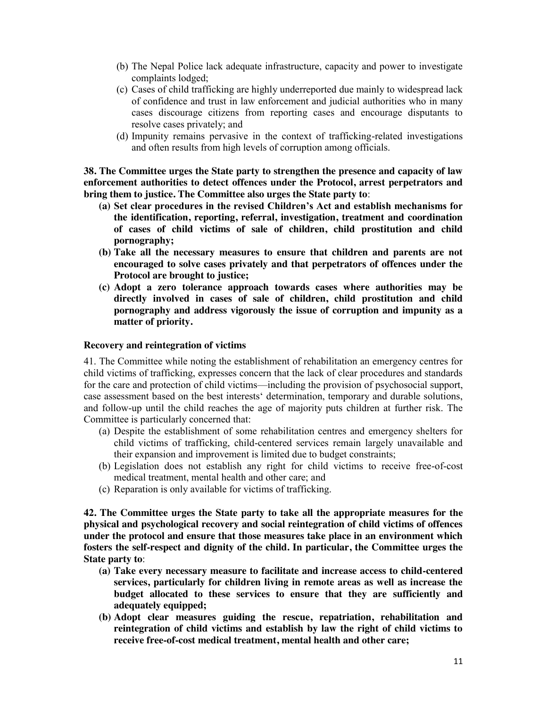- (b) The Nepal Police lack adequate infrastructure, capacity and power to investigate complaints lodged;
- (c) Cases of child trafficking are highly underreported due mainly to widespread lack of confidence and trust in law enforcement and judicial authorities who in many cases discourage citizens from reporting cases and encourage disputants to resolve cases privately; and
- (d) Impunity remains pervasive in the context of trafficking-related investigations and often results from high levels of corruption among officials.

**38. The Committee urges the State party to strengthen the presence and capacity of law enforcement authorities to detect offences under the Protocol, arrest perpetrators and bring them to justice. The Committee also urges the State party to**:

- **(a) Set clear procedures in the revised Children's Act and establish mechanisms for the identification, reporting, referral, investigation, treatment and coordination of cases of child victims of sale of children, child prostitution and child pornography;**
- **(b) Take all the necessary measures to ensure that children and parents are not encouraged to solve cases privately and that perpetrators of offences under the Protocol are brought to justice;**
- **(c) Adopt a zero tolerance approach towards cases where authorities may be directly involved in cases of sale of children, child prostitution and child pornography and address vigorously the issue of corruption and impunity as a matter of priority.**

### **Recovery and reintegration of victims**

41. The Committee while noting the establishment of rehabilitation an emergency centres for child victims of trafficking, expresses concern that the lack of clear procedures and standards for the care and protection of child victims—including the provision of psychosocial support, case assessment based on the best interests' determination, temporary and durable solutions, and follow-up until the child reaches the age of majority puts children at further risk. The Committee is particularly concerned that:

- (a) Despite the establishment of some rehabilitation centres and emergency shelters for child victims of trafficking, child-centered services remain largely unavailable and their expansion and improvement is limited due to budget constraints;
- (b) Legislation does not establish any right for child victims to receive free-of-cost medical treatment, mental health and other care; and
- (c) Reparation is only available for victims of trafficking.

**42. The Committee urges the State party to take all the appropriate measures for the physical and psychological recovery and social reintegration of child victims of offences under the protocol and ensure that those measures take place in an environment which fosters the self-respect and dignity of the child. In particular, the Committee urges the State party to**:

- **(a) Take every necessary measure to facilitate and increase access to child-centered services, particularly for children living in remote areas as well as increase the budget allocated to these services to ensure that they are sufficiently and adequately equipped;**
- **(b) Adopt clear measures guiding the rescue, repatriation, rehabilitation and reintegration of child victims and establish by law the right of child victims to receive free-of-cost medical treatment, mental health and other care;**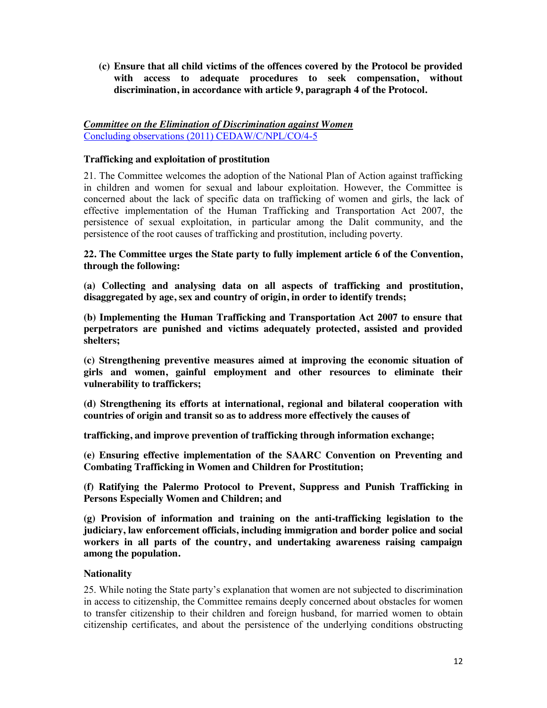**(c) Ensure that all child victims of the offences covered by the Protocol be provided with access to adequate procedures to seek compensation, without discrimination, in accordance with article 9, paragraph 4 of the Protocol.**

### *Committee on the Elimination of Discrimination against Women* Concluding observations (2011) CEDAW/C/NPL/CO/4-5

### **Trafficking and exploitation of prostitution**

21. The Committee welcomes the adoption of the National Plan of Action against trafficking in children and women for sexual and labour exploitation. However, the Committee is concerned about the lack of specific data on trafficking of women and girls, the lack of effective implementation of the Human Trafficking and Transportation Act 2007, the persistence of sexual exploitation, in particular among the Dalit community, and the persistence of the root causes of trafficking and prostitution, including poverty.

**22. The Committee urges the State party to fully implement article 6 of the Convention, through the following:**

**(a) Collecting and analysing data on all aspects of trafficking and prostitution, disaggregated by age, sex and country of origin, in order to identify trends;**

**(b) Implementing the Human Trafficking and Transportation Act 2007 to ensure that perpetrators are punished and victims adequately protected, assisted and provided shelters;**

**(c) Strengthening preventive measures aimed at improving the economic situation of girls and women, gainful employment and other resources to eliminate their vulnerability to traffickers;**

**(d) Strengthening its efforts at international, regional and bilateral cooperation with countries of origin and transit so as to address more effectively the causes of**

**trafficking, and improve prevention of trafficking through information exchange;**

**(e) Ensuring effective implementation of the SAARC Convention on Preventing and Combating Trafficking in Women and Children for Prostitution;**

**(f) Ratifying the Palermo Protocol to Prevent, Suppress and Punish Trafficking in Persons Especially Women and Children; and**

**(g) Provision of information and training on the anti-trafficking legislation to the judiciary, law enforcement officials, including immigration and border police and social workers in all parts of the country, and undertaking awareness raising campaign among the population.**

## **Nationality**

25. While noting the State party's explanation that women are not subjected to discrimination in access to citizenship, the Committee remains deeply concerned about obstacles for women to transfer citizenship to their children and foreign husband, for married women to obtain citizenship certificates, and about the persistence of the underlying conditions obstructing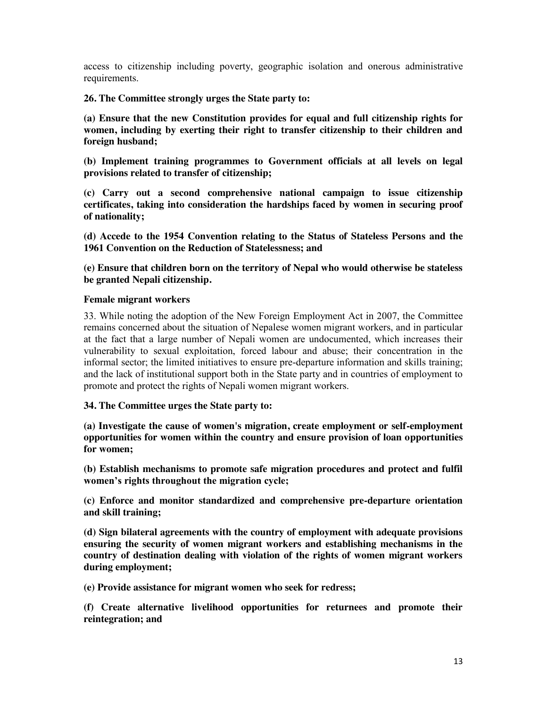access to citizenship including poverty, geographic isolation and onerous administrative requirements.

**26. The Committee strongly urges the State party to:**

**(a) Ensure that the new Constitution provides for equal and full citizenship rights for women, including by exerting their right to transfer citizenship to their children and foreign husband;**

**(b) Implement training programmes to Government officials at all levels on legal provisions related to transfer of citizenship;**

**(c) Carry out a second comprehensive national campaign to issue citizenship certificates, taking into consideration the hardships faced by women in securing proof of nationality;**

**(d) Accede to the 1954 Convention relating to the Status of Stateless Persons and the 1961 Convention on the Reduction of Statelessness; and**

**(e) Ensure that children born on the territory of Nepal who would otherwise be stateless be granted Nepali citizenship.**

### **Female migrant workers**

33. While noting the adoption of the New Foreign Employment Act in 2007, the Committee remains concerned about the situation of Nepalese women migrant workers, and in particular at the fact that a large number of Nepali women are undocumented, which increases their vulnerability to sexual exploitation, forced labour and abuse; their concentration in the informal sector; the limited initiatives to ensure pre-departure information and skills training; and the lack of institutional support both in the State party and in countries of employment to promote and protect the rights of Nepali women migrant workers.

### **34. The Committee urges the State party to:**

**(a) Investigate the cause of women's migration, create employment or self-employment opportunities for women within the country and ensure provision of loan opportunities for women;**

**(b) Establish mechanisms to promote safe migration procedures and protect and fulfil women's rights throughout the migration cycle;**

**(c) Enforce and monitor standardized and comprehensive pre-departure orientation and skill training;**

**(d) Sign bilateral agreements with the country of employment with adequate provisions ensuring the security of women migrant workers and establishing mechanisms in the country of destination dealing with violation of the rights of women migrant workers during employment;**

**(e) Provide assistance for migrant women who seek for redress;**

**(f) Create alternative livelihood opportunities for returnees and promote their reintegration; and**